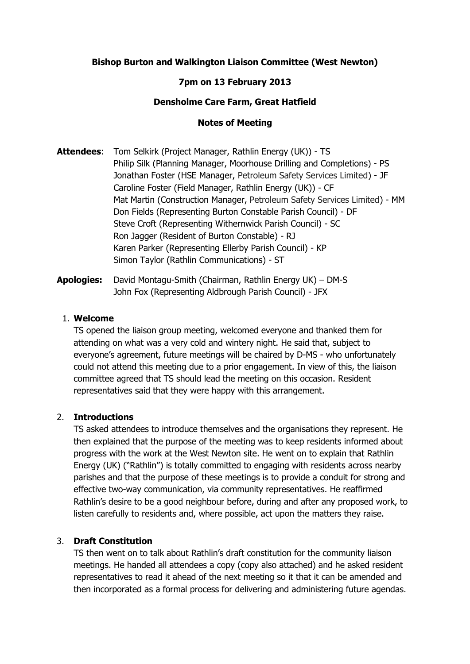# **Bishop Burton and Walkington Liaison Committee (West Newton)**

## **7pm on 13 February 2013**

## **Densholme Care Farm, Great Hatfield**

#### **Notes of Meeting**

**Attendees**: Tom Selkirk (Project Manager, Rathlin Energy (UK)) - TS Philip Silk (Planning Manager, Moorhouse Drilling and Completions) - PS Jonathan Foster (HSE Manager, Petroleum Safety Services Limited) - JF Caroline Foster (Field Manager, Rathlin Energy (UK)) - CF Mat Martin (Construction Manager, Petroleum Safety Services Limited) - MM Don Fields (Representing Burton Constable Parish Council) - DF Steve Croft (Representing Withernwick Parish Council) - SC Ron Jagger (Resident of Burton Constable) - RJ Karen Parker (Representing Ellerby Parish Council) - KP Simon Taylor (Rathlin Communications) - ST

**Apologies:** David Montagu-Smith (Chairman, Rathlin Energy UK) – DM-S John Fox (Representing Aldbrough Parish Council) - JFX

## 1. **Welcome**

TS opened the liaison group meeting, welcomed everyone and thanked them for attending on what was a very cold and wintery night. He said that, subject to everyone's agreement, future meetings will be chaired by D-MS - who unfortunately could not attend this meeting due to a prior engagement. In view of this, the liaison committee agreed that TS should lead the meeting on this occasion. Resident representatives said that they were happy with this arrangement.

#### 2. **Introductions**

TS asked attendees to introduce themselves and the organisations they represent. He then explained that the purpose of the meeting was to keep residents informed about progress with the work at the West Newton site. He went on to explain that Rathlin Energy (UK) ("Rathlin") is totally committed to engaging with residents across nearby parishes and that the purpose of these meetings is to provide a conduit for strong and effective two-way communication, via community representatives. He reaffirmed Rathlin's desire to be a good neighbour before, during and after any proposed work, to listen carefully to residents and, where possible, act upon the matters they raise.

## 3. **Draft Constitution**

TS then went on to talk about Rathlin's draft constitution for the community liaison meetings. He handed all attendees a copy (copy also attached) and he asked resident representatives to read it ahead of the next meeting so it that it can be amended and then incorporated as a formal process for delivering and administering future agendas.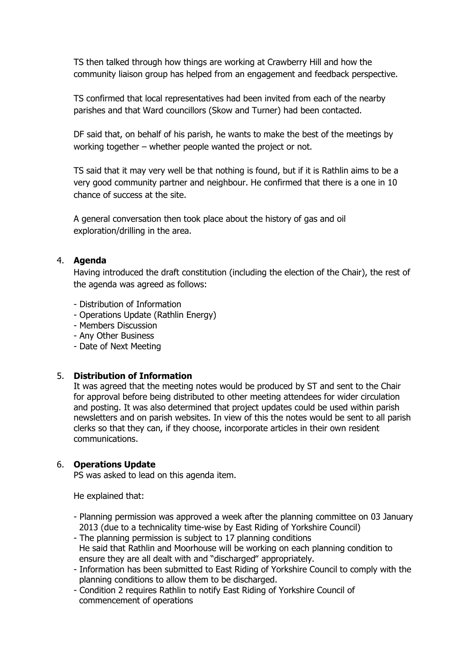TS then talked through how things are working at Crawberry Hill and how the community liaison group has helped from an engagement and feedback perspective.

TS confirmed that local representatives had been invited from each of the nearby parishes and that Ward councillors (Skow and Turner) had been contacted.

DF said that, on behalf of his parish, he wants to make the best of the meetings by working together – whether people wanted the project or not.

TS said that it may very well be that nothing is found, but if it is Rathlin aims to be a very good community partner and neighbour. He confirmed that there is a one in 10 chance of success at the site.

A general conversation then took place about the history of gas and oil exploration/drilling in the area.

## 4. **Agenda**

Having introduced the draft constitution (including the election of the Chair), the rest of the agenda was agreed as follows:

- Distribution of Information
- Operations Update (Rathlin Energy)
- Members Discussion
- Any Other Business
- Date of Next Meeting

## 5. **Distribution of Information**

It was agreed that the meeting notes would be produced by ST and sent to the Chair for approval before being distributed to other meeting attendees for wider circulation and posting. It was also determined that project updates could be used within parish newsletters and on parish websites. In view of this the notes would be sent to all parish clerks so that they can, if they choose, incorporate articles in their own resident communications.

# 6. **Operations Update**

PS was asked to lead on this agenda item.

He explained that:

- Planning permission was approved a week after the planning committee on 03 January 2013 (due to a technicality time-wise by East Riding of Yorkshire Council)
- The planning permission is subject to 17 planning conditions He said that Rathlin and Moorhouse will be working on each planning condition to ensure they are all dealt with and "discharged" appropriately.
- Information has been submitted to East Riding of Yorkshire Council to comply with the planning conditions to allow them to be discharged.
- Condition 2 requires Rathlin to notify East Riding of Yorkshire Council of commencement of operations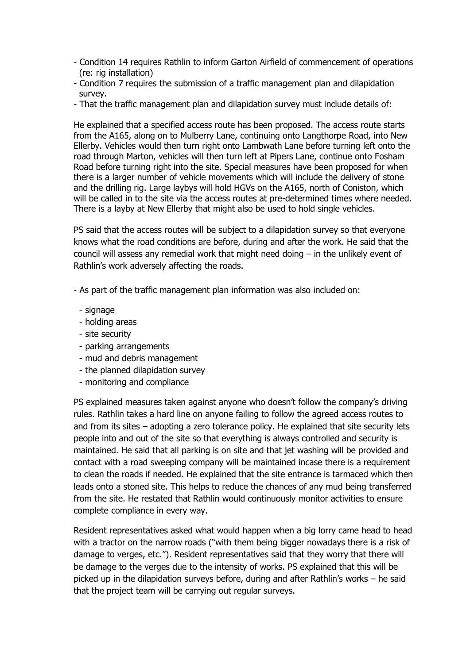- Condition 14 requires Rathlin to inform Garton Airfield of commencement of operations (re: rig installation)
- Condition 7 requires the submission of a traffic management plan and dilapidation survey.
- That the traffic management plan and dilapidation survey must include details of:

He explained that a specified access route has been proposed. The access route starts from the A165, along on to Mulberry Lane, continuing onto Langthorpe Road, into New Ellerby. Vehicles would then turn right onto Lambwath Lane before turning left onto the road through Marton, vehicles will then turn left at Pipers Lane, continue onto Fosham Road before turning right into the site. Special measures have been proposed for when there is a larger number of vehicle movements which will include the delivery of stone and the drilling rig. Large laybys will hold HGVs on the A165, north of Coniston, which will be called in to the site via the access routes at pre-determined times where needed. There is a layby at New Ellerby that might also be used to hold single vehicles.

PS said that the access routes will be subject to a dilapidation survey so that everyone knows what the road conditions are before, during and after the work. He said that the council will assess any remedial work that might need doing – in the unlikely event of Rathlin's work adversely affecting the roads.

- As part of the traffic management plan information was also included on:
	- signage
	- holding areas
	- site security
	- parking arrangements
	- mud and debris management
	- the planned dilapidation survey
	- monitoring and compliance

PS explained measures taken against anyone who doesn't follow the company's driving rules. Rathlin takes a hard line on anyone failing to follow the agreed access routes to and from its sites – adopting a zero tolerance policy. He explained that site security lets people into and out of the site so that everything is always controlled and security is maintained. He said that all parking is on site and that jet washing will be provided and contact with a road sweeping company will be maintained incase there is a requirement to clean the roads if needed. He explained that the site entrance is tarmaced which then leads onto a stoned site. This helps to reduce the chances of any mud being transferred from the site. He restated that Rathlin would continuously monitor activities to ensure complete compliance in every way.

Resident representatives asked what would happen when a big lorry came head to head with a tractor on the narrow roads ("with them being bigger nowadays there is a risk of damage to verges, etc."). Resident representatives said that they worry that there will be damage to the verges due to the intensity of works. PS explained that this will be picked up in the dilapidation surveys before, during and after Rathlin's works – he said that the project team will be carrying out regular surveys.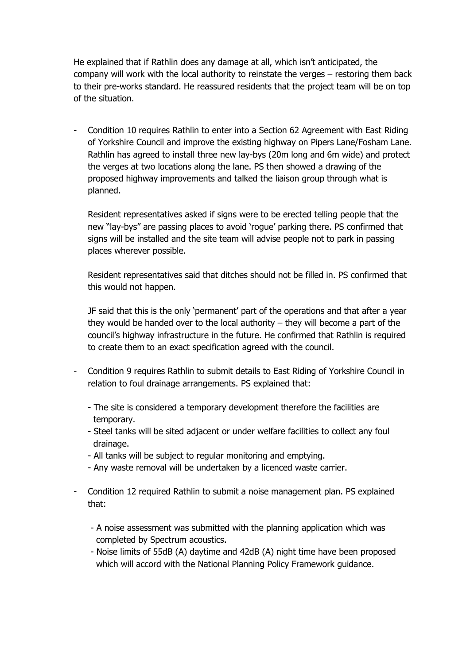He explained that if Rathlin does any damage at all, which isn't anticipated, the company will work with the local authority to reinstate the verges – restoring them back to their pre-works standard. He reassured residents that the project team will be on top of the situation.

- Condition 10 requires Rathlin to enter into a Section 62 Agreement with East Riding of Yorkshire Council and improve the existing highway on Pipers Lane/Fosham Lane. Rathlin has agreed to install three new lay-bys (20m long and 6m wide) and protect the verges at two locations along the lane. PS then showed a drawing of the proposed highway improvements and talked the liaison group through what is planned.

Resident representatives asked if signs were to be erected telling people that the new "lay-bys" are passing places to avoid 'rogue' parking there. PS confirmed that signs will be installed and the site team will advise people not to park in passing places wherever possible.

Resident representatives said that ditches should not be filled in. PS confirmed that this would not happen.

JF said that this is the only 'permanent' part of the operations and that after a year they would be handed over to the local authority – they will become a part of the council's highway infrastructure in the future. He confirmed that Rathlin is required to create them to an exact specification agreed with the council.

- Condition 9 requires Rathlin to submit details to East Riding of Yorkshire Council in relation to foul drainage arrangements. PS explained that:
	- The site is considered a temporary development therefore the facilities are temporary.
	- Steel tanks will be sited adjacent or under welfare facilities to collect any foul drainage.
	- All tanks will be subject to regular monitoring and emptying.
	- Any waste removal will be undertaken by a licenced waste carrier.
- Condition 12 required Rathlin to submit a noise management plan. PS explained that:
	- A noise assessment was submitted with the planning application which was completed by Spectrum acoustics.
	- Noise limits of 55dB (A) daytime and 42dB (A) night time have been proposed which will accord with the National Planning Policy Framework guidance.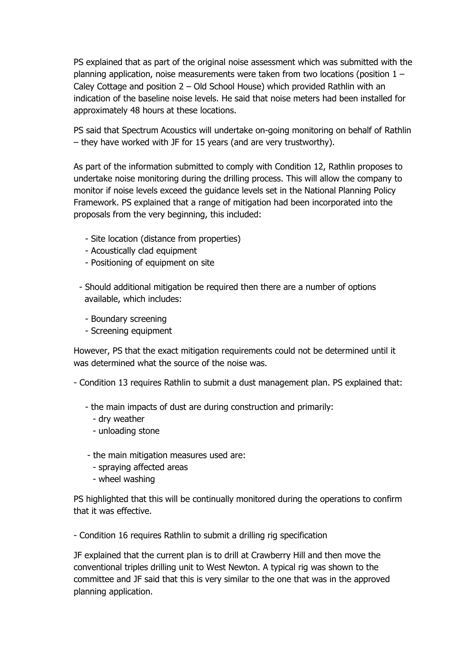PS explained that as part of the original noise assessment which was submitted with the planning application, noise measurements were taken from two locations (position 1 – Caley Cottage and position 2 – Old School House) which provided Rathlin with an indication of the baseline noise levels. He said that noise meters had been installed for approximately 48 hours at these locations.

PS said that Spectrum Acoustics will undertake on-going monitoring on behalf of Rathlin – they have worked with JF for 15 years (and are very trustworthy).

As part of the information submitted to comply with Condition 12, Rathlin proposes to undertake noise monitoring during the drilling process. This will allow the company to monitor if noise levels exceed the guidance levels set in the National Planning Policy Framework. PS explained that a range of mitigation had been incorporated into the proposals from the very beginning, this included:

- Site location (distance from properties)
- Acoustically clad equipment
- Positioning of equipment on site
- Should additional mitigation be required then there are a number of options available, which includes:
	- Boundary screening
	- Screening equipment

However, PS that the exact mitigation requirements could not be determined until it was determined what the source of the noise was.

- Condition 13 requires Rathlin to submit a dust management plan. PS explained that:

- the main impacts of dust are during construction and primarily:
	- dry weather
	- unloading stone
- the main mitigation measures used are:
	- spraying affected areas
	- wheel washing

PS highlighted that this will be continually monitored during the operations to confirm that it was effective.

- Condition 16 requires Rathlin to submit a drilling rig specification

JF explained that the current plan is to drill at Crawberry Hill and then move the conventional triples drilling unit to West Newton. A typical rig was shown to the committee and JF said that this is very similar to the one that was in the approved planning application.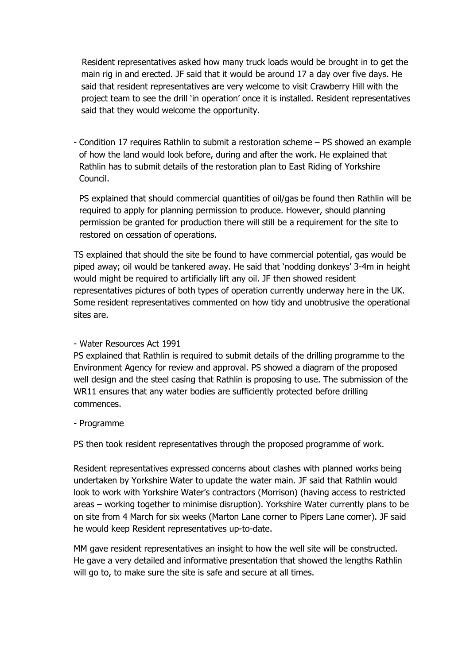Resident representatives asked how many truck loads would be brought in to get the main rig in and erected. JF said that it would be around 17 a day over five days. He said that resident representatives are very welcome to visit Crawberry Hill with the project team to see the drill 'in operation' once it is installed. Resident representatives said that they would welcome the opportunity.

- Condition 17 requires Rathlin to submit a restoration scheme – PS showed an example of how the land would look before, during and after the work. He explained that Rathlin has to submit details of the restoration plan to East Riding of Yorkshire Council.

PS explained that should commercial quantities of oil/gas be found then Rathlin will be required to apply for planning permission to produce. However, should planning permission be granted for production there will still be a requirement for the site to restored on cessation of operations.

TS explained that should the site be found to have commercial potential, gas would be piped away; oil would be tankered away. He said that 'nodding donkeys' 3-4m in height would might be required to artificially lift any oil. JF then showed resident representatives pictures of both types of operation currently underway here in the UK. Some resident representatives commented on how tidy and unobtrusive the operational sites are.

# - Water Resources Act 1991

PS explained that Rathlin is required to submit details of the drilling programme to the Environment Agency for review and approval. PS showed a diagram of the proposed well design and the steel casing that Rathlin is proposing to use. The submission of the WR11 ensures that any water bodies are sufficiently protected before drilling commences.

# - Programme

PS then took resident representatives through the proposed programme of work.

Resident representatives expressed concerns about clashes with planned works being undertaken by Yorkshire Water to update the water main. JF said that Rathlin would look to work with Yorkshire Water's contractors (Morrison) (having access to restricted areas – working together to minimise disruption). Yorkshire Water currently plans to be on site from 4 March for six weeks (Marton Lane corner to Pipers Lane corner). JF said he would keep Resident representatives up-to-date.

MM gave resident representatives an insight to how the well site will be constructed. He gave a very detailed and informative presentation that showed the lengths Rathlin will go to, to make sure the site is safe and secure at all times.